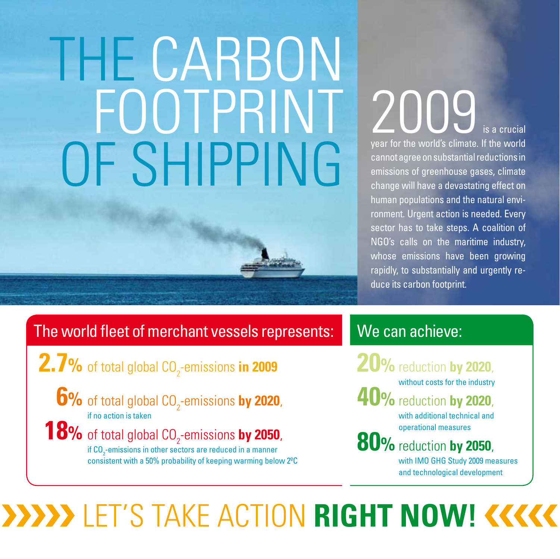# THE CARBON FOOTPRINT OF SHIPPING

2009 year for the world's climate. If the world cannot agree on substantial reductions in emissions of greenhouse gases, climate change will have a devastating effect on human populations and the natural environment. Urgent action is needed. Every sector has to take steps. A coalition of NGO's calls on the maritime industry, whose emissions have been growing rapidly, to substantially and urgently reduce its carbon footprint.

#### The world fleet of merchant vessels represents:

**2.7%** of total global CO<sub>2</sub>-emissions in 2009

**6%** of total global CO<sub>2</sub>-emissions by 2020, if no action is taken

**18%** of total global CO<sub>2</sub>-emissions by 2050, if  $\mathsf{CO}_2$ -emissions in other sectors are reduced in a manner consistent with a 50% probability of keeping warming below 2ºC

### We can achieve:

**20%** reduction **by 2020**, without costs for the industry **40%** reduction **by 2020**,

with additional technical and operational measures

**80%** reduction **by 2050**,

with IMO GHG Study 2009 measures and technological development

## Let's take action **right now!**